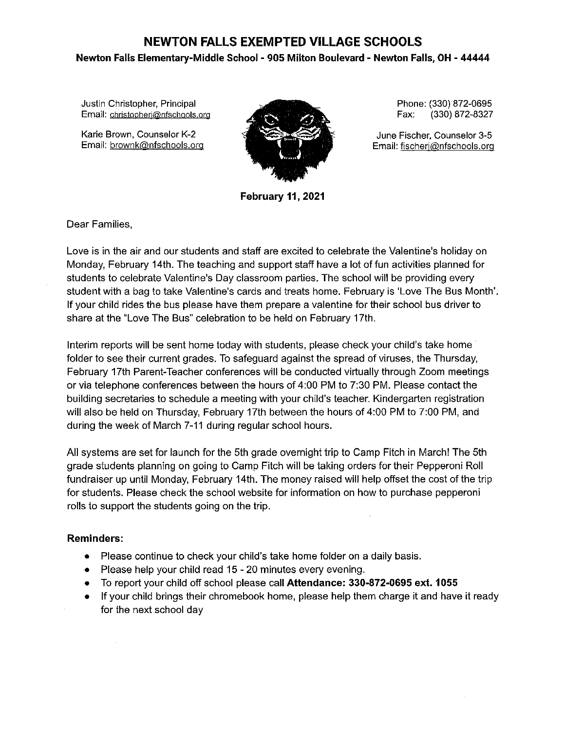## **NEWTON FALLS EXEMPTED VILLAGE SCHOOLS Newton Falls Elementary-Middle School - 905 Milton Boulevard - Newton Falls, OH - 44444**

Justin Christopher, Principal **Email: cbristopherj@nfschoo!s org** 

Karie Brown, Counselor K-2 Email: brownk@nfschools.org



**February 11, 2021** 

Phone: (330) 872-0695 Fax: (330) 872-8327

June Fischer, Counselor 3-5 Email: fischerj@nfschools.org

Dear Families,

Love is in the air and our students and staff are excited to celebrate the Valentine's holiday on Monday, February 14th. The teaching and support staff have a lot of fun activities planned for students to celebrate Valentine's Day classroom parties. The school will be providing every student with a bag to take Valentine's cards and treats home. February is 'Love The Bus Month'. If your child rides the bus please have them prepare a valentine for their school bus driver to share at the "Love The Bus" celebration to be held on February 17th.

Interim reports will be sent home today with students, please check your child's take home folder to see their current grades. To safeguard against the spread of viruses, the Thursday, February 17th Parent-Teacher conferences will be conducted virtually through Zoom meetings or via telephone conferences between the hours of 4:00 PM to 7:30 PM. Please contact the building secretaries to schedule a meeting with your child's teacher. Kindergarten registration will also be held on Thursday, February 17th between the hours of 4:00 PM to 7:00 PM, and during the week of March 7-11 during regular school hours.

All systems are set for launch for the 5th grade overnight trip to Camp Fitch in March! The 5th grade students planning on going to Camp Fitch will be taking orders for their Pepperoni Roll fundraiser up until Monday, February 14th. The money raised will help offset the cost of the trip for students. Please check the school website for information on how to purchase pepperoni rolls to support the students going on the trip.

## **Reminders:**

- Please continue to check your child's take home folder on a daily basis.
- Please help your child read 15 20 minutes every evening.
- To report your child off school please call **Attendance: 330-872-0695 ext. 1055**
- If your child brings their chromebook home, please help them charge it and have it ready for the next school day